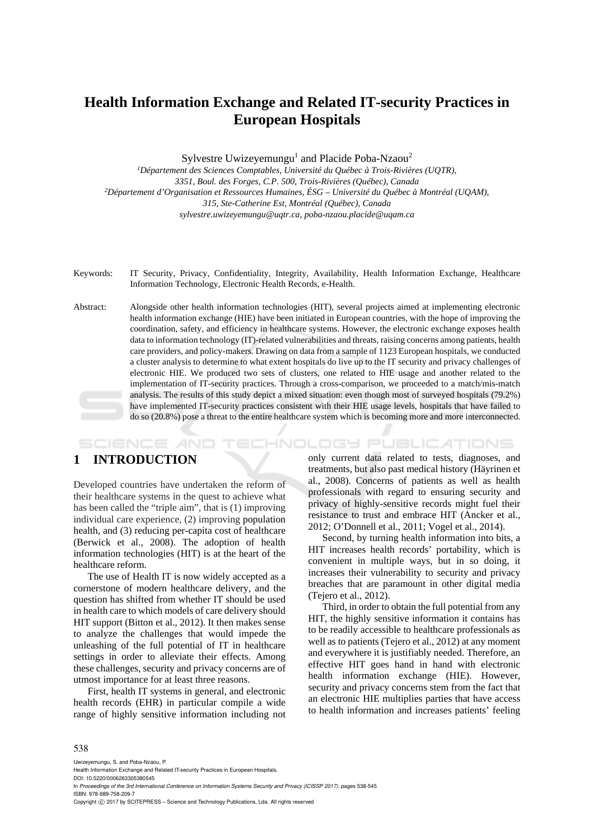# **Health Information Exchange and Related IT-security Practices in European Hospitals**

Sylvestre Uwizeyemungu<sup>1</sup> and Placide Poba-Nzaou<sup>2</sup>

*1Département des Sciences Comptables, Université du Québec à Trois-Rivières (UQTR), 3351, Boul. des Forges, C.P. 500, Trois-Rivières (Québec), Canada 2Département d'Organisation et Ressources Humaines, ÉSG – Université du Québec à Montréal (UQAM), 315, Ste-Catherine Est, Montréal (Québec), Canada sylvestre.uwizeyemungu@uqtr.ca, poba-nzaou.placide@uqam.ca* 

- Keywords: IT Security, Privacy, Confidentiality, Integrity, Availability, Health Information Exchange, Healthcare Information Technology, Electronic Health Records, e-Health.
- Abstract: Alongside other health information technologies (HIT), several projects aimed at implementing electronic health information exchange (HIE) have been initiated in European countries, with the hope of improving the coordination, safety, and efficiency in healthcare systems. However, the electronic exchange exposes health data to information technology (IT)-related vulnerabilities and threats, raising concerns among patients, health care providers, and policy-makers. Drawing on data from a sample of 1123 European hospitals, we conducted a cluster analysis to determine to what extent hospitals do live up to the IT security and privacy challenges of electronic HIE. We produced two sets of clusters, one related to HIE usage and another related to the implementation of IT-security practices. Through a cross-comparison, we proceeded to a match/mis-match analysis. The results of this study depict a mixed situation: even though most of surveyed hospitals (79.2%) have implemented IT-security practices consistent with their HIE usage levels, hospitals that have failed to do so (20.8%) pose a threat to the entire healthcare system which is becoming more and more interconnected.

#### TECHNOLOGY PUBLICATIONS SCIENCE *A*ND

# **1 INTRODUCTION**

Developed countries have undertaken the reform of their healthcare systems in the quest to achieve what has been called the "triple aim", that is (1) improving individual care experience, (2) improving population health, and (3) reducing per-capita cost of healthcare (Berwick et al., 2008). The adoption of health information technologies (HIT) is at the heart of the healthcare reform.

The use of Health IT is now widely accepted as a cornerstone of modern healthcare delivery, and the question has shifted from whether IT should be used in health care to which models of care delivery should HIT support (Bitton et al., 2012). It then makes sense to analyze the challenges that would impede the unleashing of the full potential of IT in healthcare settings in order to alleviate their effects. Among these challenges, security and privacy concerns are of utmost importance for at least three reasons.

First, health IT systems in general, and electronic health records (EHR) in particular compile a wide range of highly sensitive information including not only current data related to tests, diagnoses, and treatments, but also past medical history (Häyrinen et al., 2008). Concerns of patients as well as health professionals with regard to ensuring security and privacy of highly-sensitive records might fuel their resistance to trust and embrace HIT (Ancker et al., 2012; O'Donnell et al., 2011; Vogel et al., 2014).

Second, by turning health information into bits, a HIT increases health records' portability, which is convenient in multiple ways, but in so doing, it increases their vulnerability to security and privacy breaches that are paramount in other digital media (Tejero et al., 2012).

Third, in order to obtain the full potential from any HIT, the highly sensitive information it contains has to be readily accessible to healthcare professionals as well as to patients (Tejero et al., 2012) at any moment and everywhere it is justifiably needed. Therefore, an effective HIT goes hand in hand with electronic health information exchange (HIE). However, security and privacy concerns stem from the fact that an electronic HIE multiplies parties that have access to health information and increases patients' feeling

#### 538

Uwizeyemungu, S. and Poba-Nzaou, P.

Health Information Exchange and Related IT-security Practices in European Hospitals.

DOI: 10.5220/0006263305380545

In *Proceedings of the 3rd International Conference on Information Systems Security and Privacy (ICISSP 2017)*, pages 538-545 ISBN: 978-989-758-209-7

Copyright © 2017 by SCITEPRESS - Science and Technology Publications, Lda. All rights reserved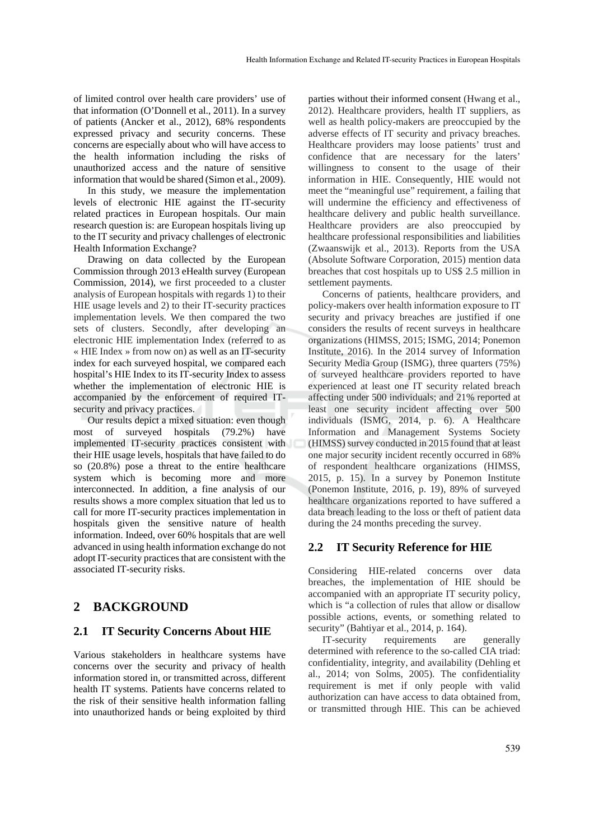of limited control over health care providers' use of that information (O'Donnell et al., 2011). In a survey of patients (Ancker et al., 2012), 68% respondents expressed privacy and security concerns. These concerns are especially about who will have access to the health information including the risks of unauthorized access and the nature of sensitive information that would be shared (Simon et al., 2009).

In this study, we measure the implementation levels of electronic HIE against the IT-security related practices in European hospitals. Our main research question is: are European hospitals living up to the IT security and privacy challenges of electronic Health Information Exchange?

Drawing on data collected by the European Commission through 2013 eHealth survey (European Commission, 2014), we first proceeded to a cluster analysis of European hospitals with regards 1) to their HIE usage levels and 2) to their IT-security practices implementation levels. We then compared the two sets of clusters. Secondly, after developing an electronic HIE implementation Index (referred to as « HIE Index » from now on) as well as an IT-security index for each surveyed hospital, we compared each hospital's HIE Index to its IT-security Index to assess whether the implementation of electronic HIE is accompanied by the enforcement of required ITsecurity and privacy practices.

Our results depict a mixed situation: even though most of surveyed hospitals (79.2%) have implemented IT-security practices consistent with their HIE usage levels, hospitals that have failed to do so (20.8%) pose a threat to the entire healthcare system which is becoming more and more interconnected. In addition, a fine analysis of our results shows a more complex situation that led us to call for more IT-security practices implementation in hospitals given the sensitive nature of health information. Indeed, over 60% hospitals that are well advanced in using health information exchange do not adopt IT-security practices that are consistent with the associated IT-security risks.

## **2 BACKGROUND**

#### **2.1 IT Security Concerns About HIE**

Various stakeholders in healthcare systems have concerns over the security and privacy of health information stored in, or transmitted across, different health IT systems. Patients have concerns related to the risk of their sensitive health information falling into unauthorized hands or being exploited by third

parties without their informed consent (Hwang et al., 2012). Healthcare providers, health IT suppliers, as well as health policy-makers are preoccupied by the adverse effects of IT security and privacy breaches. Healthcare providers may loose patients' trust and confidence that are necessary for the laters' willingness to consent to the usage of their information in HIE. Consequently, HIE would not meet the "meaningful use" requirement, a failing that will undermine the efficiency and effectiveness of healthcare delivery and public health surveillance. Healthcare providers are also preoccupied by healthcare professional responsibilities and liabilities (Zwaanswijk et al., 2013). Reports from the USA (Absolute Software Corporation, 2015) mention data breaches that cost hospitals up to US\$ 2.5 million in settlement payments.

Concerns of patients, healthcare providers, and policy-makers over health information exposure to IT security and privacy breaches are justified if one considers the results of recent surveys in healthcare organizations (HIMSS, 2015; ISMG, 2014; Ponemon Institute, 2016). In the 2014 survey of Information Security Media Group (ISMG), three quarters (75%) of surveyed healthcare providers reported to have experienced at least one IT security related breach affecting under 500 individuals; and 21% reported at least one security incident affecting over 500 individuals (ISMG, 2014, p. 6). A Healthcare Information and Management Systems Society (HIMSS) survey conducted in 2015 found that at least one major security incident recently occurred in 68% of respondent healthcare organizations (HIMSS, 2015, p. 15). In a survey by Ponemon Institute (Ponemon Institute, 2016, p. 19), 89% of surveyed healthcare organizations reported to have suffered a data breach leading to the loss or theft of patient data during the 24 months preceding the survey.

## **2.2 IT Security Reference for HIE**

Considering HIE-related concerns over data breaches, the implementation of HIE should be accompanied with an appropriate IT security policy, which is "a collection of rules that allow or disallow possible actions, events, or something related to security" (Bahtiyar et al., 2014, p. 164).

IT-security requirements are generally determined with reference to the so-called CIA triad: confidentiality, integrity, and availability (Dehling et al., 2014; von Solms, 2005). The confidentiality requirement is met if only people with valid authorization can have access to data obtained from, or transmitted through HIE. This can be achieved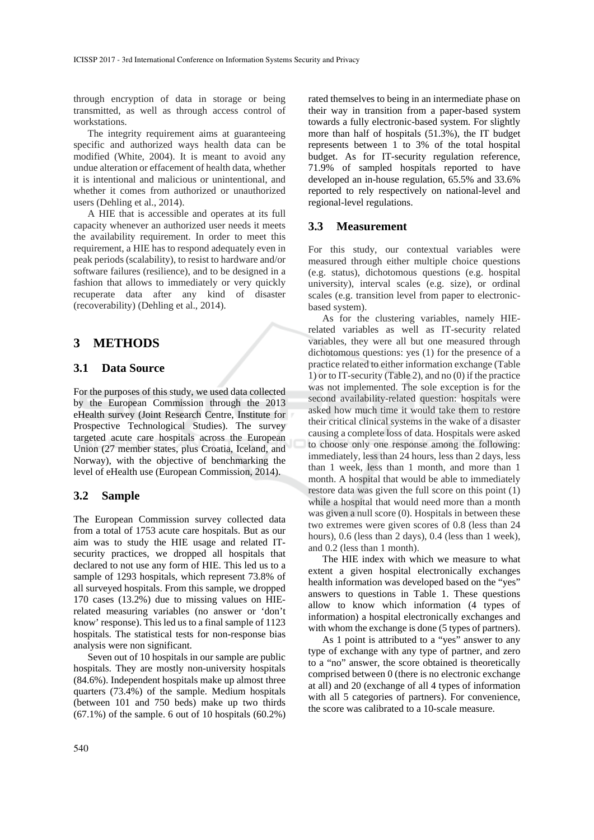through encryption of data in storage or being transmitted, as well as through access control of workstations.

The integrity requirement aims at guaranteeing specific and authorized ways health data can be modified (White, 2004). It is meant to avoid any undue alteration or effacement of health data, whether it is intentional and malicious or unintentional, and whether it comes from authorized or unauthorized users (Dehling et al., 2014).

A HIE that is accessible and operates at its full capacity whenever an authorized user needs it meets the availability requirement. In order to meet this requirement, a HIE has to respond adequately even in peak periods (scalability), to resist to hardware and/or software failures (resilience), and to be designed in a fashion that allows to immediately or very quickly recuperate data after any kind of disaster (recoverability) (Dehling et al., 2014).

## **3 METHODS**

## **3.1 Data Source**

For the purposes of this study, we used data collected by the European Commission through the 2013 eHealth survey (Joint Research Centre, Institute for Prospective Technological Studies). The survey targeted acute care hospitals across the European Union (27 member states, plus Croatia, Iceland, and Norway), with the objective of benchmarking the level of eHealth use (European Commission, 2014).

#### **3.2 Sample**

The European Commission survey collected data from a total of 1753 acute care hospitals. But as our aim was to study the HIE usage and related ITsecurity practices, we dropped all hospitals that declared to not use any form of HIE. This led us to a sample of 1293 hospitals, which represent 73.8% of all surveyed hospitals. From this sample, we dropped 170 cases (13.2%) due to missing values on HIErelated measuring variables (no answer or 'don't know' response). This led us to a final sample of 1123 hospitals. The statistical tests for non-response bias analysis were non significant.

Seven out of 10 hospitals in our sample are public hospitals. They are mostly non-university hospitals (84.6%). Independent hospitals make up almost three quarters (73.4%) of the sample. Medium hospitals (between 101 and 750 beds) make up two thirds  $(67.1\%)$  of the sample. 6 out of 10 hospitals  $(60.2\%)$ 

rated themselves to being in an intermediate phase on their way in transition from a paper-based system towards a fully electronic-based system. For slightly more than half of hospitals (51.3%), the IT budget represents between 1 to 3% of the total hospital budget. As for IT-security regulation reference, 71.9% of sampled hospitals reported to have developed an in-house regulation, 65.5% and 33.6% reported to rely respectively on national-level and regional-level regulations.

#### **3.3 Measurement**

For this study, our contextual variables were measured through either multiple choice questions (e.g. status), dichotomous questions (e.g. hospital university), interval scales (e.g. size), or ordinal scales (e.g. transition level from paper to electronicbased system).

As for the clustering variables, namely HIErelated variables as well as IT-security related variables, they were all but one measured through dichotomous questions: yes (1) for the presence of a practice related to either information exchange (Table 1) or to IT-security (Table 2), and no (0) if the practice was not implemented. The sole exception is for the second availability-related question: hospitals were asked how much time it would take them to restore their critical clinical systems in the wake of a disaster causing a complete loss of data. Hospitals were asked to choose only one response among the following: immediately, less than 24 hours, less than 2 days, less than 1 week, less than 1 month, and more than 1 month. A hospital that would be able to immediately restore data was given the full score on this point (1) while a hospital that would need more than a month was given a null score (0). Hospitals in between these two extremes were given scores of 0.8 (less than 24 hours), 0.6 (less than 2 days), 0.4 (less than 1 week), and 0.2 (less than 1 month).

The HIE index with which we measure to what extent a given hospital electronically exchanges health information was developed based on the "yes" answers to questions in Table 1. These questions allow to know which information (4 types of information) a hospital electronically exchanges and with whom the exchange is done (5 types of partners).

As 1 point is attributed to a "yes" answer to any type of exchange with any type of partner, and zero to a "no" answer, the score obtained is theoretically comprised between 0 (there is no electronic exchange at all) and 20 (exchange of all 4 types of information with all 5 categories of partners). For convenience, the score was calibrated to a 10-scale measure.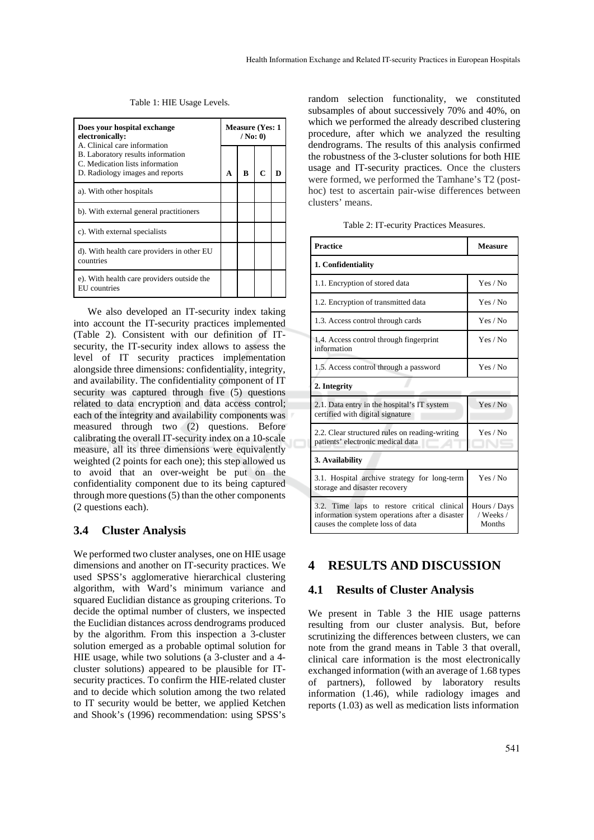Table 1: HIE Usage Levels.

| Does your hospital exchange<br>electronically:<br>A. Clinical care information<br>B. Laboratory results information<br>C. Medication lists information<br>D. Radiology images and reports |  | <b>Measure (Yes: 1)</b><br>$/$ No: 0) |   |  |  |
|-------------------------------------------------------------------------------------------------------------------------------------------------------------------------------------------|--|---------------------------------------|---|--|--|
|                                                                                                                                                                                           |  | в                                     | C |  |  |
| a). With other hospitals                                                                                                                                                                  |  |                                       |   |  |  |
| b). With external general practitioners                                                                                                                                                   |  |                                       |   |  |  |
| c). With external specialists                                                                                                                                                             |  |                                       |   |  |  |
| d). With health care providers in other EU<br>countries                                                                                                                                   |  |                                       |   |  |  |
| e). With health care providers outside the<br>EU countries                                                                                                                                |  |                                       |   |  |  |

We also developed an IT-security index taking into account the IT-security practices implemented (Table 2). Consistent with our definition of ITsecurity, the IT-security index allows to assess the level of IT security practices implementation alongside three dimensions: confidentiality, integrity, and availability. The confidentiality component of IT security was captured through five (5) questions related to data encryption and data access control; each of the integrity and availability components was measured through two (2) questions. Before calibrating the overall IT-security index on a 10-scale measure, all its three dimensions were equivalently weighted (2 points for each one); this step allowed us to avoid that an over-weight be put on the confidentiality component due to its being captured through more questions (5) than the other components (2 questions each).

## **3.4 Cluster Analysis**

We performed two cluster analyses, one on HIE usage dimensions and another on IT-security practices. We used SPSS's agglomerative hierarchical clustering algorithm, with Ward's minimum variance and squared Euclidian distance as grouping criterions. To decide the optimal number of clusters, we inspected the Euclidian distances across dendrograms produced by the algorithm. From this inspection a 3-cluster solution emerged as a probable optimal solution for HIE usage, while two solutions (a 3-cluster and a 4 cluster solutions) appeared to be plausible for ITsecurity practices. To confirm the HIE-related cluster and to decide which solution among the two related to IT security would be better, we applied Ketchen and Shook's (1996) recommendation: using SPSS's

random selection functionality, we constituted subsamples of about successively 70% and 40%, on which we performed the already described clustering procedure, after which we analyzed the resulting dendrograms. The results of this analysis confirmed the robustness of the 3-cluster solutions for both HIE usage and IT-security practices. Once the clusters were formed, we performed the Tamhane's T2 (posthoc) test to ascertain pair-wise differences between clusters' means.

Table 2: IT-ecurity Practices Measures.

| <b>Practice</b>                                                                                                                   | Measure                             |  |  |  |  |
|-----------------------------------------------------------------------------------------------------------------------------------|-------------------------------------|--|--|--|--|
| 1. Confidentiality                                                                                                                |                                     |  |  |  |  |
| 1.1. Encryption of stored data                                                                                                    | Yes / No                            |  |  |  |  |
| 1.2. Encryption of transmitted data                                                                                               | Yes / No                            |  |  |  |  |
| 1.3. Access control through cards                                                                                                 | Yes / No                            |  |  |  |  |
| 1.4. Access control through fingerprint<br>information                                                                            | Yes / No                            |  |  |  |  |
| 1.5. Access control through a password                                                                                            | Yes / No                            |  |  |  |  |
| 2. Integrity                                                                                                                      |                                     |  |  |  |  |
| 2.1. Data entry in the hospital's IT system<br>certified with digital signature                                                   | Yes / No                            |  |  |  |  |
| 2.2. Clear structured rules on reading-writing<br>patients' electronic medical data                                               | Yes / No                            |  |  |  |  |
| 3. Availability                                                                                                                   |                                     |  |  |  |  |
| 3.1. Hospital archive strategy for long-term<br>storage and disaster recovery                                                     | Yes / No                            |  |  |  |  |
| 3.2. Time laps to restore critical clinical<br>information system operations after a disaster<br>causes the complete loss of data | Hours / Days<br>/ Weeks /<br>Months |  |  |  |  |

#### **4 RESULTS AND DISCUSSION**

#### **4.1 Results of Cluster Analysis**

We present in Table 3 the HIE usage patterns resulting from our cluster analysis. But, before scrutinizing the differences between clusters, we can note from the grand means in Table 3 that overall, clinical care information is the most electronically exchanged information (with an average of 1.68 types of partners), followed by laboratory results information (1.46), while radiology images and reports (1.03) as well as medication lists information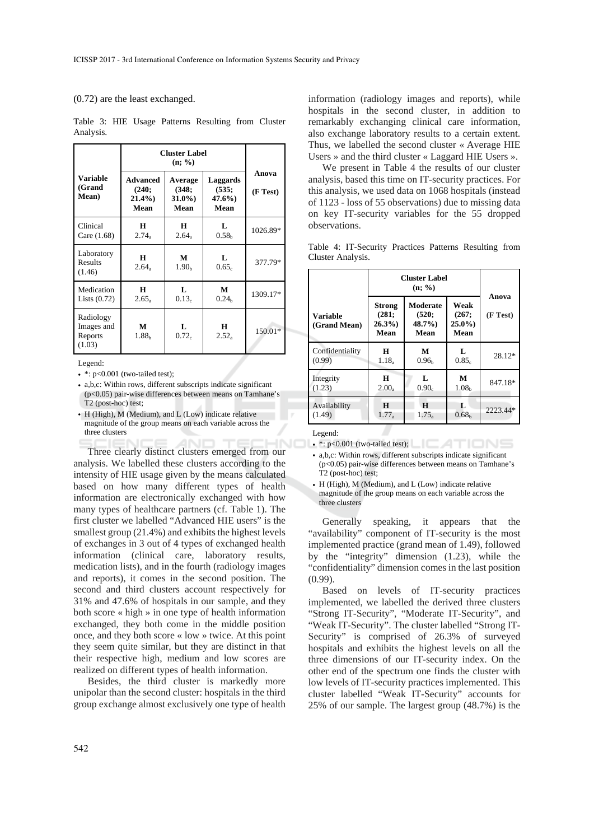#### (0.72) are the least exchanged.

|                                              | <b>Cluster Label</b>                         |                                      |                                           |                   |
|----------------------------------------------|----------------------------------------------|--------------------------------------|-------------------------------------------|-------------------|
| <b>Variable</b><br>(Grand<br>Mean)           | <b>Advanced</b><br>(240;<br>$21.4\%$<br>Mean | Average<br>(348;<br>$31.0\%$<br>Mean | <b>Laggards</b><br>(535;<br>47.6%<br>Mean | Anova<br>(F Test) |
| Clinical<br>Care (1.68)                      | н<br>$2.74_a$                                | H<br>2.64 <sub>a</sub>               | L<br>0.58 <sub>b</sub>                    | 1026.89*          |
| Laboratory<br>Results<br>(1.46)              | H<br>2.64 <sub>a</sub>                       | M<br>1.90 <sub>b</sub>               | L<br>0.65c                                | 377.79*           |
| Medication<br>Lists $(0.72)$                 | H<br>$2.65_a$                                | Τ.<br>0.13 <sub>c</sub>              | M<br>0.24 <sub>h</sub>                    | 1309.17*          |
| Radiology<br>Images and<br>Reports<br>(1.03) | М<br>1.88 <sub>b</sub>                       | L<br>0.72c                           | H<br>$2.52_a$                             | $150.01*$         |

Table 3: HIE Usage Patterns Resulting from Cluster Analysis.

Legend:

- a,b,c: Within rows, different subscripts indicate significant (p<0.05) pair-wise differences between means on Tamhane's T2 (post-hoc) test;
- H (High), M (Medium), and L (Low) indicate relative magnitude of the group means on each variable across the three clusters

Three clearly distinct clusters emerged from our analysis. We labelled these clusters according to the intensity of HIE usage given by the means calculated based on how many different types of health information are electronically exchanged with how many types of healthcare partners (cf. Table 1). The first cluster we labelled "Advanced HIE users" is the smallest group (21.4%) and exhibits the highest levels of exchanges in 3 out of 4 types of exchanged health information (clinical care, laboratory results, medication lists), and in the fourth (radiology images and reports), it comes in the second position. The second and third clusters account respectively for 31% and 47.6% of hospitals in our sample, and they both score « high » in one type of health information exchanged, they both come in the middle position once, and they both score « low » twice. At this point they seem quite similar, but they are distinct in that their respective high, medium and low scores are realized on different types of health information.

Besides, the third cluster is markedly more unipolar than the second cluster: hospitals in the third group exchange almost exclusively one type of health

information (radiology images and reports), while hospitals in the second cluster, in addition to remarkably exchanging clinical care information, also exchange laboratory results to a certain extent. Thus, we labelled the second cluster « Average HIE Users » and the third cluster « Laggard HIE Users ».

We present in Table 4 the results of our cluster analysis, based this time on IT-security practices. For this analysis, we used data on 1068 hospitals (instead of 1123 - loss of 55 observations) due to missing data on key IT-security variables for the 55 dropped observations.

|                   | Table 4: IT-Security Practices Patterns Resulting from |                                    |  |  |
|-------------------|--------------------------------------------------------|------------------------------------|--|--|
| Cluster Analysis. |                                                        |                                    |  |  |
|                   |                                                        | $\sim$ $\sim$ $\sim$ $\sim$ $\sim$ |  |  |

|                                 | <b>Cluster Label</b>                       |                                       |                                   |                   |
|---------------------------------|--------------------------------------------|---------------------------------------|-----------------------------------|-------------------|
| <b>Variable</b><br>(Grand Mean) | <b>Strong</b><br>(281;<br>$26.3\%$<br>Mean | Moderate<br>(520;<br>$48.7\%$<br>Mean | Weak<br>(267;<br>$25.0\%$<br>Mean | Anova<br>(F Test) |
| Confidentiality                 | н                                          | М                                     | Ι.                                | 28.12*            |
| (0.99)                          | $1.18_a$                                   | 0.96 <sub>b</sub>                     | 0.85c                             |                   |
| Integrity                       | н                                          | L                                     | M                                 | 847.18*           |
| (1.23)                          | $2.00_a$                                   | $0.90_c$                              | 1.08 <sub>b</sub>                 |                   |
| Availability                    | H                                          | H                                     | Ι.                                | 2223.44*          |
| (1.49)                          | $1.77_a$                                   | $1.75_a$                              | 0.68 <sub>b</sub>                 |                   |

Legend:

 $\blacksquare$  • \*: p<0.001 (two-tailed test);

• a,b,c: Within rows, different subscripts indicate significant (p<0.05) pair-wise differences between means on Tamhane's T2 (post-hoc) test;

• H (High), M (Medium), and L (Low) indicate relative magnitude of the group means on each variable across the three clusters

Generally speaking, it appears that the "availability" component of IT-security is the most implemented practice (grand mean of 1.49), followed by the "integrity" dimension (1.23), while the "confidentiality" dimension comes in the last position (0.99).

Based on levels of IT-security practices implemented, we labelled the derived three clusters "Strong IT-Security", "Moderate IT-Security", and "Weak IT-Security". The cluster labelled "Strong IT-Security" is comprised of 26.3% of surveyed hospitals and exhibits the highest levels on all the three dimensions of our IT-security index. On the other end of the spectrum one finds the cluster with low levels of IT-security practices implemented. This cluster labelled "Weak IT-Security" accounts for 25% of our sample. The largest group (48.7%) is the

<sup>•</sup>  $\div$ : p<0.001 (two-tailed test);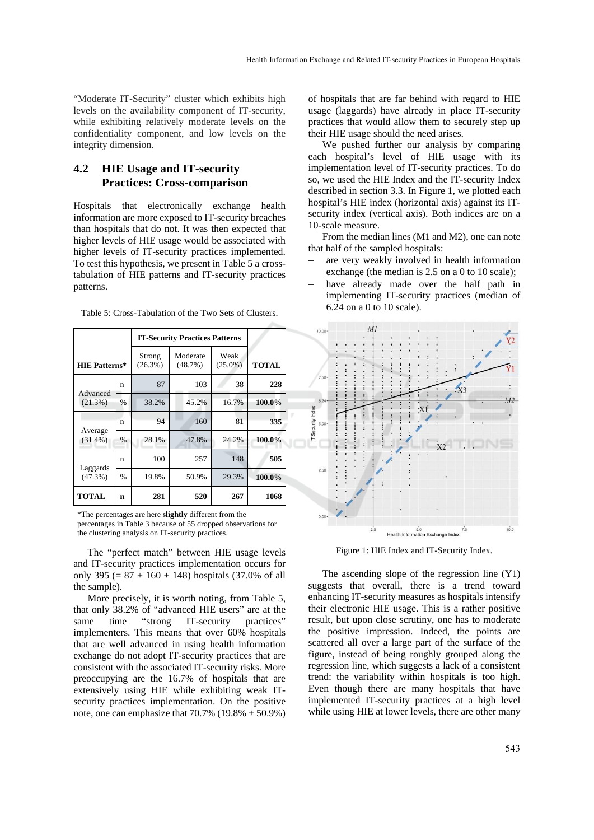"Moderate IT-Security" cluster which exhibits high levels on the availability component of IT-security, while exhibiting relatively moderate levels on the confidentiality component, and low levels on the integrity dimension.

## **4.2 HIE Usage and IT-security Practices: Cross-comparison**

Hospitals that electronically exchange health information are more exposed to IT-security breaches than hospitals that do not. It was then expected that higher levels of HIE usage would be associated with higher levels of IT-security practices implemented. To test this hypothesis, we present in Table 5 a crosstabulation of HIE patterns and IT-security practices patterns.

|                        |      | <b>IT-Security Practices Patterns</b> |                     |                    |              |
|------------------------|------|---------------------------------------|---------------------|--------------------|--------------|
| <b>HIE Patterns*</b>   |      | Strong<br>$(26.3\%)$                  | Moderate<br>(48.7%) | Weak<br>$(25.0\%)$ | <b>TOTAL</b> |
| Advanced               | n    | 87                                    | 103                 | 38                 | 228          |
| $(21.3\%)$             | %    | 38.2%                                 | 45.2%               | 16.7%              | 100.0%       |
|                        | n    | 94                                    | 160                 | 81                 | 335          |
| Average<br>$(31.4\%)$  | %    | 28.1%                                 | 47.8%               | 24.2%              | 100.0%       |
|                        | n    | 100                                   | 257                 | 148                | 505          |
| Laggards<br>$(47.3\%)$ | $\%$ | 19.8%                                 | 50.9%               | 29.3%              | 100.0%       |
| <b>TOTAL</b>           | n    | 281                                   | 520                 | 267                | 1068         |

Table 5: Cross-Tabulation of the Two Sets of Clusters.

\*The percentages are here **slightly** different from the

percentages in Table 3 because of 55 dropped observations for the clustering analysis on IT-security practices.

The "perfect match" between HIE usage levels and IT-security practices implementation occurs for only 395 ( $= 87 + 160 + 148$ ) hospitals (37.0% of all the sample).

More precisely, it is worth noting, from Table 5, that only 38.2% of "advanced HIE users" are at the same time "strong IT-security practices" implementers. This means that over 60% hospitals that are well advanced in using health information exchange do not adopt IT-security practices that are consistent with the associated IT-security risks. More preoccupying are the 16.7% of hospitals that are extensively using HIE while exhibiting weak ITsecurity practices implementation. On the positive note, one can emphasize that  $70.7\%$   $(19.8\% + 50.9\%)$ 

of hospitals that are far behind with regard to HIE usage (laggards) have already in place IT-security practices that would allow them to securely step up their HIE usage should the need arises.

We pushed further our analysis by comparing each hospital's level of HIE usage with its implementation level of IT-security practices. To do so, we used the HIE Index and the IT-security Index described in section 3.3. In Figure 1, we plotted each hospital's HIE index (horizontal axis) against its ITsecurity index (vertical axis). Both indices are on a 10-scale measure.

From the median lines (M1 and M2), one can note that half of the sampled hospitals:

- are very weakly involved in health information exchange (the median is 2.5 on a 0 to 10 scale);
- have already made over the half path in implementing IT-security practices (median of 6.24 on a 0 to 10 scale).



Figure 1: HIE Index and IT-Security Index.

The ascending slope of the regression line (Y1) suggests that overall, there is a trend toward enhancing IT-security measures as hospitals intensify their electronic HIE usage. This is a rather positive result, but upon close scrutiny, one has to moderate the positive impression. Indeed, the points are scattered all over a large part of the surface of the figure, instead of being roughly grouped along the regression line, which suggests a lack of a consistent trend: the variability within hospitals is too high. Even though there are many hospitals that have implemented IT-security practices at a high level while using HIE at lower levels, there are other many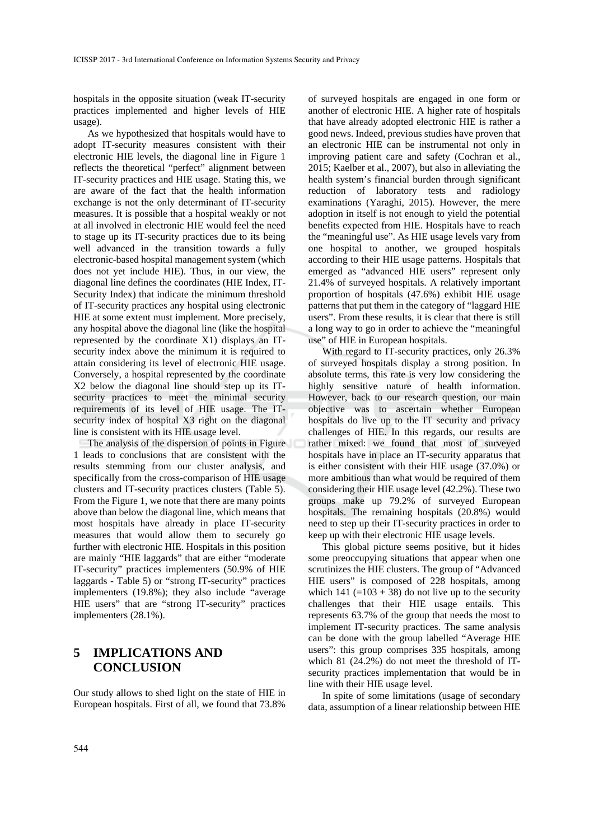hospitals in the opposite situation (weak IT-security practices implemented and higher levels of HIE usage).

As we hypothesized that hospitals would have to adopt IT-security measures consistent with their electronic HIE levels, the diagonal line in Figure 1 reflects the theoretical "perfect" alignment between IT-security practices and HIE usage. Stating this, we are aware of the fact that the health information exchange is not the only determinant of IT-security measures. It is possible that a hospital weakly or not at all involved in electronic HIE would feel the need to stage up its IT-security practices due to its being well advanced in the transition towards a fully electronic-based hospital management system (which does not yet include HIE). Thus, in our view, the diagonal line defines the coordinates (HIE Index, IT-Security Index) that indicate the minimum threshold of IT-security practices any hospital using electronic HIE at some extent must implement. More precisely, any hospital above the diagonal line (like the hospital represented by the coordinate X1) displays an ITsecurity index above the minimum it is required to attain considering its level of electronic HIE usage. Conversely, a hospital represented by the coordinate X2 below the diagonal line should step up its ITsecurity practices to meet the minimal security requirements of its level of HIE usage. The ITsecurity index of hospital X3 right on the diagonal line is consistent with its HIE usage level.

The analysis of the dispersion of points in Figure 1 leads to conclusions that are consistent with the results stemming from our cluster analysis, and specifically from the cross-comparison of HIE usage clusters and IT-security practices clusters (Table 5). From the Figure 1, we note that there are many points above than below the diagonal line, which means that most hospitals have already in place IT-security measures that would allow them to securely go further with electronic HIE. Hospitals in this position are mainly "HIE laggards" that are either "moderate IT-security" practices implementers (50.9% of HIE laggards - Table 5) or "strong IT-security" practices implementers (19.8%); they also include "average HIE users" that are "strong IT-security" practices implementers (28.1%).

# **5 IMPLICATIONS AND CONCLUSION**

Our study allows to shed light on the state of HIE in European hospitals. First of all, we found that 73.8%

of surveyed hospitals are engaged in one form or another of electronic HIE. A higher rate of hospitals that have already adopted electronic HIE is rather a good news. Indeed, previous studies have proven that an electronic HIE can be instrumental not only in improving patient care and safety (Cochran et al., 2015; Kaelber et al., 2007), but also in alleviating the health system's financial burden through significant reduction of laboratory tests and radiology examinations (Yaraghi, 2015). However, the mere adoption in itself is not enough to yield the potential benefits expected from HIE. Hospitals have to reach the "meaningful use". As HIE usage levels vary from one hospital to another, we grouped hospitals according to their HIE usage patterns. Hospitals that emerged as "advanced HIE users" represent only 21.4% of surveyed hospitals. A relatively important proportion of hospitals (47.6%) exhibit HIE usage patterns that put them in the category of "laggard HIE users". From these results, it is clear that there is still a long way to go in order to achieve the "meaningful use" of HIE in European hospitals.

With regard to IT-security practices, only 26.3% of surveyed hospitals display a strong position. In absolute terms, this rate is very low considering the highly sensitive nature of health information. However, back to our research question, our main objective was to ascertain whether European hospitals do live up to the IT security and privacy challenges of HIE. In this regards, our results are rather mixed: we found that most of surveyed hospitals have in place an IT-security apparatus that is either consistent with their HIE usage (37.0%) or more ambitious than what would be required of them considering their HIE usage level (42.2%). These two groups make up 79.2% of surveyed European hospitals. The remaining hospitals (20.8%) would need to step up their IT-security practices in order to keep up with their electronic HIE usage levels.

This global picture seems positive, but it hides some preoccupying situations that appear when one scrutinizes the HIE clusters. The group of "Advanced HIE users" is composed of 228 hospitals, among which 141 (=103 + 38) do not live up to the security challenges that their HIE usage entails. This represents 63.7% of the group that needs the most to implement IT-security practices. The same analysis can be done with the group labelled "Average HIE users": this group comprises 335 hospitals, among which 81 (24.2%) do not meet the threshold of ITsecurity practices implementation that would be in line with their HIE usage level.

In spite of some limitations (usage of secondary data, assumption of a linear relationship between HIE